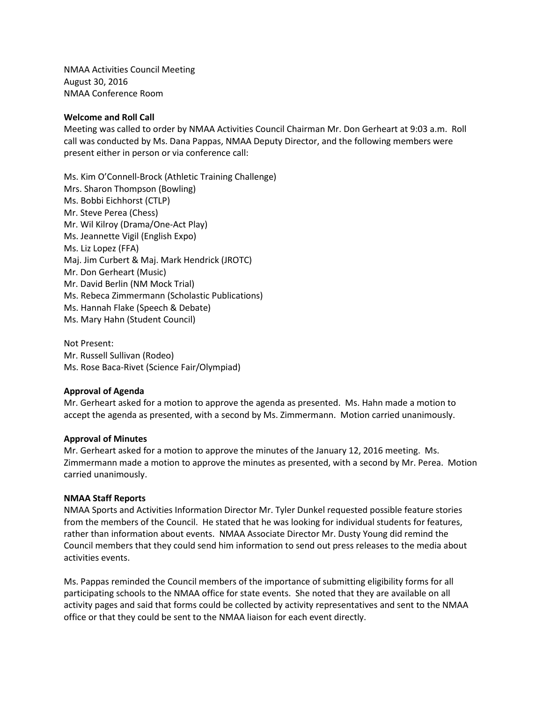NMAA Activities Council Meeting August 30, 2016 NMAA Conference Room

### **Welcome and Roll Call**

Meeting was called to order by NMAA Activities Council Chairman Mr. Don Gerheart at 9:03 a.m. Roll call was conducted by Ms. Dana Pappas, NMAA Deputy Director, and the following members were present either in person or via conference call:

Ms. Kim O'Connell-Brock (Athletic Training Challenge) Mrs. Sharon Thompson (Bowling) Ms. Bobbi Eichhorst (CTLP) Mr. Steve Perea (Chess) Mr. Wil Kilroy (Drama/One-Act Play) Ms. Jeannette Vigil (English Expo) Ms. Liz Lopez (FFA) Maj. Jim Curbert & Maj. Mark Hendrick (JROTC) Mr. Don Gerheart (Music) Mr. David Berlin (NM Mock Trial) Ms. Rebeca Zimmermann (Scholastic Publications) Ms. Hannah Flake (Speech & Debate) Ms. Mary Hahn (Student Council)

Not Present: Mr. Russell Sullivan (Rodeo) Ms. Rose Baca-Rivet (Science Fair/Olympiad)

# **Approval of Agenda**

Mr. Gerheart asked for a motion to approve the agenda as presented. Ms. Hahn made a motion to accept the agenda as presented, with a second by Ms. Zimmermann. Motion carried unanimously.

#### **Approval of Minutes**

Mr. Gerheart asked for a motion to approve the minutes of the January 12, 2016 meeting. Ms. Zimmermann made a motion to approve the minutes as presented, with a second by Mr. Perea. Motion carried unanimously.

#### **NMAA Staff Reports**

NMAA Sports and Activities Information Director Mr. Tyler Dunkel requested possible feature stories from the members of the Council. He stated that he was looking for individual students for features, rather than information about events. NMAA Associate Director Mr. Dusty Young did remind the Council members that they could send him information to send out press releases to the media about activities events.

Ms. Pappas reminded the Council members of the importance of submitting eligibility forms for all participating schools to the NMAA office for state events. She noted that they are available on all activity pages and said that forms could be collected by activity representatives and sent to the NMAA office or that they could be sent to the NMAA liaison for each event directly.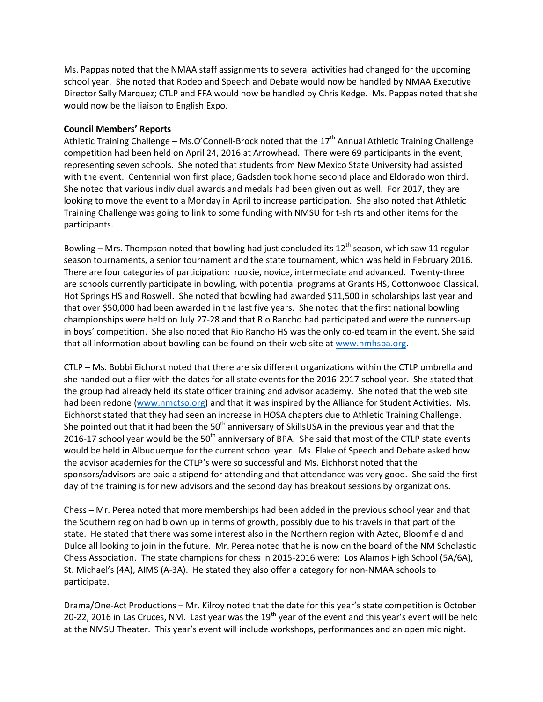Ms. Pappas noted that the NMAA staff assignments to several activities had changed for the upcoming school year. She noted that Rodeo and Speech and Debate would now be handled by NMAA Executive Director Sally Marquez; CTLP and FFA would now be handled by Chris Kedge. Ms. Pappas noted that she would now be the liaison to English Expo.

# **Council Members' Reports**

Athletic Training Challenge – Ms.O'Connell-Brock noted that the 17<sup>th</sup> Annual Athletic Training Challenge competition had been held on April 24, 2016 at Arrowhead. There were 69 participants in the event, representing seven schools. She noted that students from New Mexico State University had assisted with the event. Centennial won first place; Gadsden took home second place and Eldorado won third. She noted that various individual awards and medals had been given out as well. For 2017, they are looking to move the event to a Monday in April to increase participation. She also noted that Athletic Training Challenge was going to link to some funding with NMSU for t-shirts and other items for the participants.

Bowling – Mrs. Thompson noted that bowling had just concluded its  $12<sup>th</sup>$  season, which saw 11 regular season tournaments, a senior tournament and the state tournament, which was held in February 2016. There are four categories of participation: rookie, novice, intermediate and advanced. Twenty-three are schools currently participate in bowling, with potential programs at Grants HS, Cottonwood Classical, Hot Springs HS and Roswell. She noted that bowling had awarded \$11,500 in scholarships last year and that over \$50,000 had been awarded in the last five years. She noted that the first national bowling championships were held on July 27-28 and that Rio Rancho had participated and were the runners-up in boys' competition. She also noted that Rio Rancho HS was the only co-ed team in the event. She said that all information about bowling can be found on their web site a[t www.nmhsba.org.](http://www.nmhsba.org/)

CTLP – Ms. Bobbi Eichorst noted that there are six different organizations within the CTLP umbrella and she handed out a flier with the dates for all state events for the 2016-2017 school year. She stated that the group had already held its state officer training and advisor academy. She noted that the web site had been redone [\(www.nmctso.org\)](http://www.nmctso.org/) and that it was inspired by the Alliance for Student Activities. Ms. Eichhorst stated that they had seen an increase in HOSA chapters due to Athletic Training Challenge. She pointed out that it had been the  $50<sup>th</sup>$  anniversary of SkillsUSA in the previous year and that the 2016-17 school year would be the  $50<sup>th</sup>$  anniversary of BPA. She said that most of the CTLP state events would be held in Albuquerque for the current school year. Ms. Flake of Speech and Debate asked how the advisor academies for the CTLP's were so successful and Ms. Eichhorst noted that the sponsors/advisors are paid a stipend for attending and that attendance was very good. She said the first day of the training is for new advisors and the second day has breakout sessions by organizations.

Chess – Mr. Perea noted that more memberships had been added in the previous school year and that the Southern region had blown up in terms of growth, possibly due to his travels in that part of the state. He stated that there was some interest also in the Northern region with Aztec, Bloomfield and Dulce all looking to join in the future. Mr. Perea noted that he is now on the board of the NM Scholastic Chess Association. The state champions for chess in 2015-2016 were: Los Alamos High School (5A/6A), St. Michael's (4A), AIMS (A-3A). He stated they also offer a category for non-NMAA schools to participate.

Drama/One-Act Productions – Mr. Kilroy noted that the date for this year's state competition is October 20-22, 2016 in Las Cruces, NM. Last year was the 19<sup>th</sup> year of the event and this year's event will be held at the NMSU Theater. This year's event will include workshops, performances and an open mic night.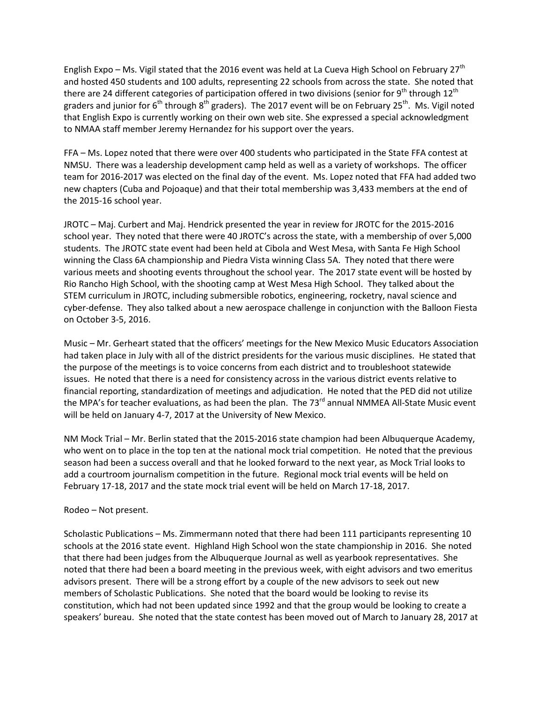English Expo – Ms. Vigil stated that the 2016 event was held at La Cueva High School on February 27<sup>th</sup> and hosted 450 students and 100 adults, representing 22 schools from across the state. She noted that there are 24 different categories of participation offered in two divisions (senior for 9<sup>th</sup> through 12<sup>th</sup> graders and junior for 6<sup>th</sup> through 8<sup>th</sup> graders). The 2017 event will be on February 25<sup>th</sup>. Ms. Vigil noted that English Expo is currently working on their own web site. She expressed a special acknowledgment to NMAA staff member Jeremy Hernandez for his support over the years.

FFA – Ms. Lopez noted that there were over 400 students who participated in the State FFA contest at NMSU. There was a leadership development camp held as well as a variety of workshops. The officer team for 2016-2017 was elected on the final day of the event. Ms. Lopez noted that FFA had added two new chapters (Cuba and Pojoaque) and that their total membership was 3,433 members at the end of the 2015-16 school year.

JROTC – Maj. Curbert and Maj. Hendrick presented the year in review for JROTC for the 2015-2016 school year. They noted that there were 40 JROTC's across the state, with a membership of over 5,000 students. The JROTC state event had been held at Cibola and West Mesa, with Santa Fe High School winning the Class 6A championship and Piedra Vista winning Class 5A. They noted that there were various meets and shooting events throughout the school year. The 2017 state event will be hosted by Rio Rancho High School, with the shooting camp at West Mesa High School. They talked about the STEM curriculum in JROTC, including submersible robotics, engineering, rocketry, naval science and cyber-defense. They also talked about a new aerospace challenge in conjunction with the Balloon Fiesta on October 3-5, 2016.

Music – Mr. Gerheart stated that the officers' meetings for the New Mexico Music Educators Association had taken place in July with all of the district presidents for the various music disciplines. He stated that the purpose of the meetings is to voice concerns from each district and to troubleshoot statewide issues. He noted that there is a need for consistency across in the various district events relative to financial reporting, standardization of meetings and adjudication. He noted that the PED did not utilize the MPA's for teacher evaluations, as had been the plan. The 73<sup>rd</sup> annual NMMEA All-State Music event will be held on January 4-7, 2017 at the University of New Mexico.

NM Mock Trial – Mr. Berlin stated that the 2015-2016 state champion had been Albuquerque Academy, who went on to place in the top ten at the national mock trial competition. He noted that the previous season had been a success overall and that he looked forward to the next year, as Mock Trial looks to add a courtroom journalism competition in the future. Regional mock trial events will be held on February 17-18, 2017 and the state mock trial event will be held on March 17-18, 2017.

# Rodeo – Not present.

Scholastic Publications – Ms. Zimmermann noted that there had been 111 participants representing 10 schools at the 2016 state event. Highland High School won the state championship in 2016. She noted that there had been judges from the Albuquerque Journal as well as yearbook representatives. She noted that there had been a board meeting in the previous week, with eight advisors and two emeritus advisors present. There will be a strong effort by a couple of the new advisors to seek out new members of Scholastic Publications. She noted that the board would be looking to revise its constitution, which had not been updated since 1992 and that the group would be looking to create a speakers' bureau. She noted that the state contest has been moved out of March to January 28, 2017 at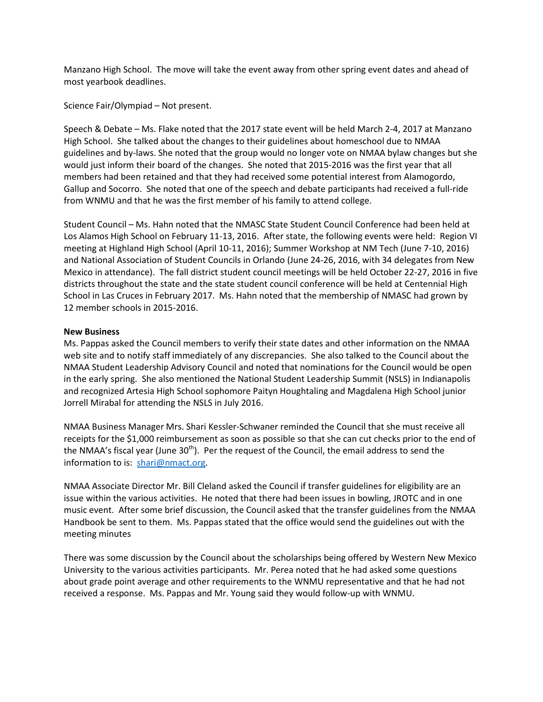Manzano High School. The move will take the event away from other spring event dates and ahead of most yearbook deadlines.

Science Fair/Olympiad – Not present.

Speech & Debate – Ms. Flake noted that the 2017 state event will be held March 2-4, 2017 at Manzano High School. She talked about the changes to their guidelines about homeschool due to NMAA guidelines and by-laws. She noted that the group would no longer vote on NMAA bylaw changes but she would just inform their board of the changes. She noted that 2015-2016 was the first year that all members had been retained and that they had received some potential interest from Alamogordo, Gallup and Socorro. She noted that one of the speech and debate participants had received a full-ride from WNMU and that he was the first member of his family to attend college.

Student Council – Ms. Hahn noted that the NMASC State Student Council Conference had been held at Los Alamos High School on February 11-13, 2016. After state, the following events were held: Region VI meeting at Highland High School (April 10-11, 2016); Summer Workshop at NM Tech (June 7-10, 2016) and National Association of Student Councils in Orlando (June 24-26, 2016, with 34 delegates from New Mexico in attendance). The fall district student council meetings will be held October 22-27, 2016 in five districts throughout the state and the state student council conference will be held at Centennial High School in Las Cruces in February 2017. Ms. Hahn noted that the membership of NMASC had grown by 12 member schools in 2015-2016.

## **New Business**

Ms. Pappas asked the Council members to verify their state dates and other information on the NMAA web site and to notify staff immediately of any discrepancies. She also talked to the Council about the NMAA Student Leadership Advisory Council and noted that nominations for the Council would be open in the early spring. She also mentioned the National Student Leadership Summit (NSLS) in Indianapolis and recognized Artesia High School sophomore Paityn Houghtaling and Magdalena High School junior Jorrell Mirabal for attending the NSLS in July 2016.

NMAA Business Manager Mrs. Shari Kessler-Schwaner reminded the Council that she must receive all receipts for the \$1,000 reimbursement as soon as possible so that she can cut checks prior to the end of the NMAA's fiscal year (June  $30<sup>th</sup>$ ). Per the request of the Council, the email address to send the information to is: [shari@nmact.org.](mailto:shari@nmact.org)

NMAA Associate Director Mr. Bill Cleland asked the Council if transfer guidelines for eligibility are an issue within the various activities. He noted that there had been issues in bowling, JROTC and in one music event. After some brief discussion, the Council asked that the transfer guidelines from the NMAA Handbook be sent to them. Ms. Pappas stated that the office would send the guidelines out with the meeting minutes

There was some discussion by the Council about the scholarships being offered by Western New Mexico University to the various activities participants. Mr. Perea noted that he had asked some questions about grade point average and other requirements to the WNMU representative and that he had not received a response. Ms. Pappas and Mr. Young said they would follow-up with WNMU.